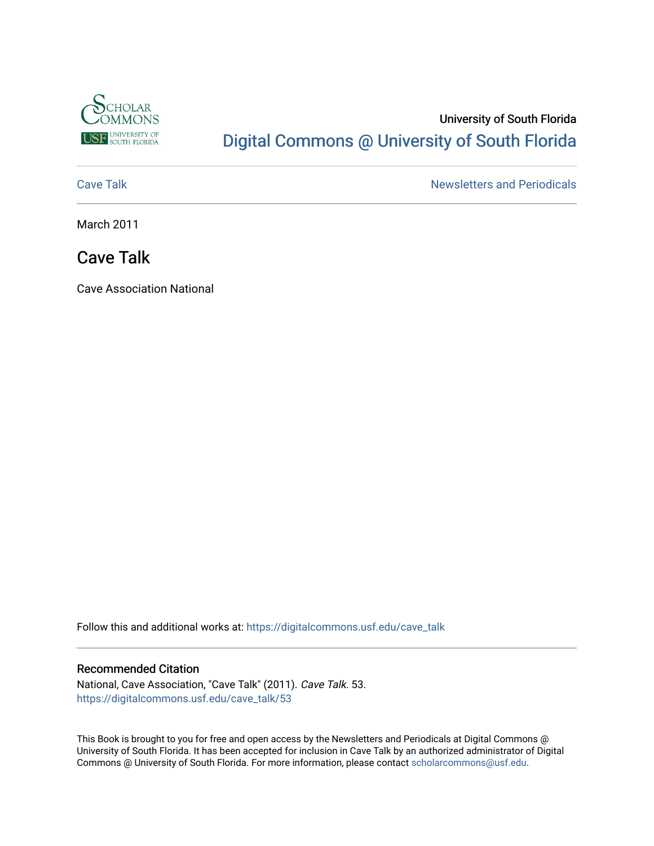

# University of South Florida [Digital Commons @ University of South Florida](https://digitalcommons.usf.edu/)

[Cave Talk](https://digitalcommons.usf.edu/cave_talk) **Newsletters** and Periodicals

March 2011

## Cave Talk

Cave Association National

Follow this and additional works at: [https://digitalcommons.usf.edu/cave\\_talk](https://digitalcommons.usf.edu/cave_talk?utm_source=digitalcommons.usf.edu%2Fcave_talk%2F53&utm_medium=PDF&utm_campaign=PDFCoverPages) 

### Recommended Citation

National, Cave Association, "Cave Talk" (2011). Cave Talk. 53. [https://digitalcommons.usf.edu/cave\\_talk/53](https://digitalcommons.usf.edu/cave_talk/53?utm_source=digitalcommons.usf.edu%2Fcave_talk%2F53&utm_medium=PDF&utm_campaign=PDFCoverPages)

This Book is brought to you for free and open access by the Newsletters and Periodicals at Digital Commons @ University of South Florida. It has been accepted for inclusion in Cave Talk by an authorized administrator of Digital Commons @ University of South Florida. For more information, please contact [scholarcommons@usf.edu](mailto:scholarcommons@usf.edu).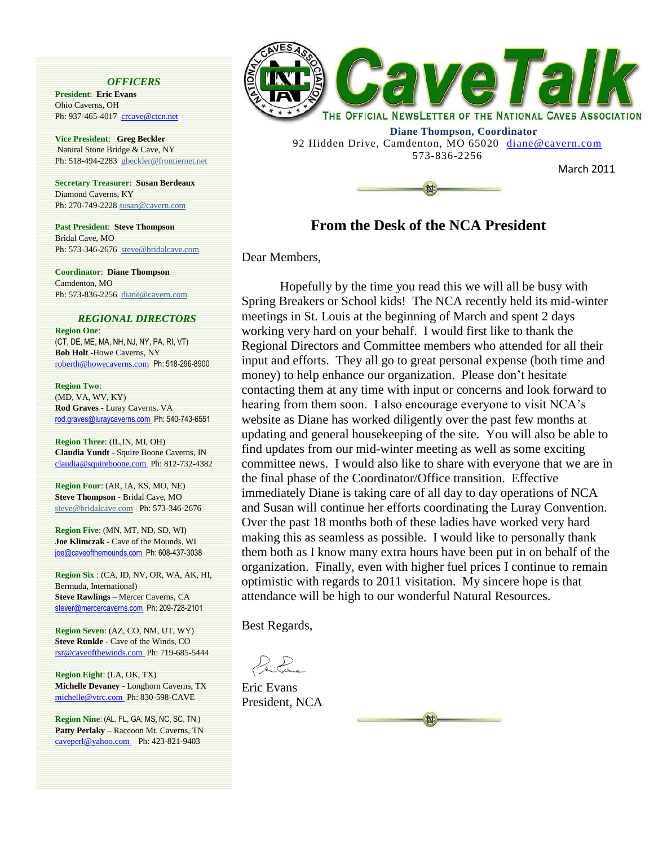#### *OFFICERS*

**President**: **Eric Evans**  Ohio Caverns, OH Ph: 937-465-4017 crcave@ctcn.net

**Vice President**: **Greg Beckler** Natural Stone Bridge & Cave, NY Ph: 518-494-2283 [gbeckler@frontiernet.net](mailto:gbeckler@frontiernet.net)

**Secretary Treasurer**: **Susan Berdeaux**  Diamond Caverns, KY Ph: 270-749-222[8 susan@cavern.com](mailto:susan@cavern.com)

**Past President**: **Steve Thompson**  Bridal Cave, MO Ph: 573-346-2676 [steve@bridalcave.com](mailto:steve@bridalcave.com)

**Coordinator**: **Diane Thompson** Camdenton, MO Ph: 573-836-2256 [diane@cavern.com](mailto:diane@cavern.com)

### *REGIONAL DIRECTORS*

**Region One**: (CT, DE, ME, MA, NH, NJ, NY, PA, RI, VT) **Bob Holt -**Howe Caverns, NY roberth@howecaverns.com Ph: 518-296-8900

**Region Two**: (MD, VA, WV, KY) **Rod Graves** - Luray Caverns, VA rod.graves@luraycaverns.com Ph: 540-743-6551

**Region Three**: (IL,IN, MI, OH) **Claudia Yundt** - Squire Boone Caverns, IN claudia@squireboone.com Ph: 812-732-4382

**Region Four**: (AR, IA, KS, MO, NE) **Steve Thompson** - Bridal Cave, MO [steve@bridalcave.com](mailto:steve@bridalcave.com) Ph: 573-346-2676

**Region Five**: (MN, MT, ND, SD, WI) **Joe Klimczak** - Cave of the Mounds, WI joe@caveofthemounds.com Ph: 608-437-3038

**Region Six** : (CA, ID, NV, OR, WA, AK, HI, Bermuda, International) **Steve Rawlings** – Mercer Caverns, CA stever@mercercaverns.com Ph: 209-728-2101

**Region Seven**: (AZ, CO, NM, UT, WY) **Steve Runkle** - Cave of the Winds, CO rsr@caveofthewinds.com Ph: 719-685-5444

**Region Eight**: (LA, OK, TX) **Michelle Devaney** - Longhorn Caverns, TX michelle@vtrc.com Ph: 830-598-CAVE

**Region Nine**: (AL, FL, GA, MS, NC, SC, TN,) **Patty Perlaky** – Raccoon Mt. Caverns, TN caveperl@yahoo.com Ph: 423-821-9403



 **Diane Thompson, Coordinator** 92 Hidden Drive, Camdenton, MO 65020 diane@cavern.com 573-836-2256



March 2011

### **From the Desk of the NCA President**

Dear Members,

Hopefully by the time you read this we will all be busy with Spring Breakers or School kids! The NCA recently held its mid-winter meetings in St. Louis at the beginning of March and spent 2 days working very hard on your behalf. I would first like to thank the Regional Directors and Committee members who attended for all their input and efforts. They all go to great personal expense (both time and money) to help enhance our organization. Please don't hesitate contacting them at any time with input or concerns and look forward to hearing from them soon. I also encourage everyone to visit NCA's website as Diane has worked diligently over the past few months at updating and general housekeeping of the site. You will also be able to find updates from our mid-winter meeting as well as some exciting committee news. I would also like to share with everyone that we are in the final phase of the Coordinator/Office transition. Effective immediately Diane is taking care of all day to day operations of NCA and Susan will continue her efforts coordinating the Luray Convention. Over the past 18 months both of these ladies have worked very hard making this as seamless as possible. I would like to personally thank them both as I know many extra hours have been put in on behalf of the organization. Finally, even with higher fuel prices I continue to remain optimistic with regards to 2011 visitation. My sincere hope is that attendance will be high to our wonderful Natural Resources.

Best Regards,

 $\mathcal{L}_{\mathbf{t}}$ 

Eric Evans President, NCA

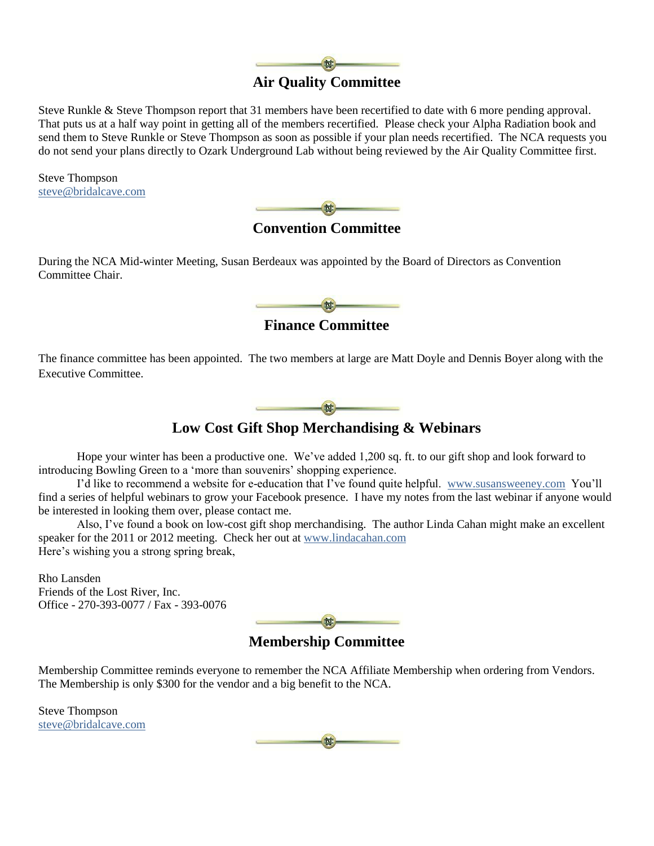

Steve Runkle & Steve Thompson report that 31 members have been recertified to date with 6 more pending approval. That puts us at a half way point in getting all of the members recertified. Please check your Alpha Radiation book and send them to Steve Runkle or Steve Thompson as soon as possible if your plan needs recertified. The NCA requests you do not send your plans directly to Ozark Underground Lab without being reviewed by the Air Quality Committee first.

Steve Thompson [steve@bridalcave.com](mailto:steve@bridalcave.com)



**Convention Committee**

During the NCA Mid-winter Meeting, Susan Berdeaux was appointed by the Board of Directors as Convention Committee Chair.



**Finance Committee**

The finance committee has been appointed. The two members at large are Matt Doyle and Dennis Boyer along with the Executive Committee.



### **Low Cost Gift Shop Merchandising & Webinars**

Hope your winter has been a productive one. We"ve added 1,200 sq. ft. to our gift shop and look forward to introducing Bowling Green to a 'more than souvenirs' shopping experience.

I"d like to recommend a website for e-education that I"ve found quite helpful. [www.susansweeney.com](http://www.susansweeney.com/) You"ll find a series of helpful webinars to grow your Facebook presence. I have my notes from the last webinar if anyone would be interested in looking them over, please contact me.

Also, I"ve found a book on low-cost gift shop merchandising. The author Linda Cahan might make an excellent speaker for the 2011 or 2012 meeting. Check her out at [www.lindacahan.com](http://www.lindacahan.com/) Here's wishing you a strong spring break,

Rho Lansden Friends of the Lost River, Inc. Office - 270-393-0077 / Fax - 393-0076

 $\frac{dx}{dx}$ 

**Membership Committee**

Membership Committee reminds everyone to remember the NCA Affiliate Membership when ordering from Vendors. The Membership is only \$300 for the vendor and a big benefit to the NCA.

Steve Thompson [steve@bridalcave.com](mailto:steve@bridalcave.com)

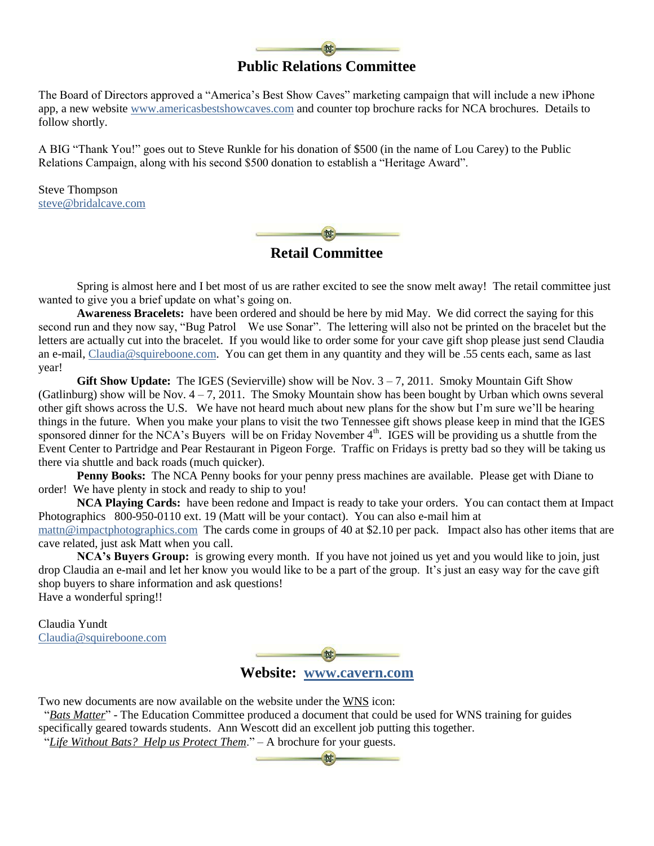### **Public Relations Committee**

The Board of Directors approved a "America"s Best Show Caves" marketing campaign that will include a new iPhone app, a new website [www.americasbestshowcaves.com](http://www.americasbestshowcaves.com/) and counter top brochure racks for NCA brochures. Details to follow shortly.

A BIG "Thank You!" goes out to Steve Runkle for his donation of \$500 (in the name of Lou Carey) to the Public Relations Campaign, along with his second \$500 donation to establish a "Heritage Award".

Steve Thompson [steve@bridalcave.com](mailto:steve@bridalcave.com)

啉

**Retail Committee**

Spring is almost here and I bet most of us are rather excited to see the snow melt away! The retail committee just wanted to give you a brief update on what's going on.

**Awareness Bracelets:** have been ordered and should be here by mid May. We did correct the saying for this second run and they now say, "Bug Patrol We use Sonar". The lettering will also not be printed on the bracelet but the letters are actually cut into the bracelet. If you would like to order some for your cave gift shop please just send Claudia an e-mail[, Claudia@squireboone.com.](mailto:Claudia@squireboone.com) You can get them in any quantity and they will be .55 cents each, same as last year!

**Gift Show Update:** The IGES (Sevierville) show will be Nov.  $3 - 7$ , 2011. Smoky Mountain Gift Show (Gatlinburg) show will be Nov.  $4 - 7$ , 2011. The Smoky Mountain show has been bought by Urban which owns several other gift shows across the U.S. We have not heard much about new plans for the show but I"m sure we"ll be hearing things in the future. When you make your plans to visit the two Tennessee gift shows please keep in mind that the IGES sponsored dinner for the NCA's Buyers will be on Friday November  $4<sup>th</sup>$ . IGES will be providing us a shuttle from the Event Center to Partridge and Pear Restaurant in Pigeon Forge. Traffic on Fridays is pretty bad so they will be taking us there via shuttle and back roads (much quicker).

**Penny Books:** The NCA Penny books for your penny press machines are available. Please get with Diane to order! We have plenty in stock and ready to ship to you!

**NCA Playing Cards:** have been redone and Impact is ready to take your orders. You can contact them at Impact Photographics 800-950-0110 ext. 19 (Matt will be your contact). You can also e-mail him at [mattn@impactphotographics.com](mailto:mattn@impactphotographics.com) The cards come in groups of 40 at \$2.10 per pack. Impact also has other items that are cave related, just ask Matt when you call.

**NCA's Buyers Group:** is growing every month. If you have not joined us yet and you would like to join, just drop Claudia an e-mail and let her know you would like to be a part of the group. It"s just an easy way for the cave gift shop buyers to share information and ask questions! Have a wonderful spring!!

Claudia Yundt [Claudia@squireboone.com](mailto:Claudia@squireboone.com)

**Website: [www.cavern.com](http://www.cavern.com/)**

Two new documents are now available on the website under the WNS icon:

 "*Bats Matter*" - The Education Committee produced a document that could be used for WNS training for guides specifically geared towards students. Ann Wescott did an excellent job putting this together.

"*Life Without Bats? Help us Protect Them*." – A brochure for your guests.

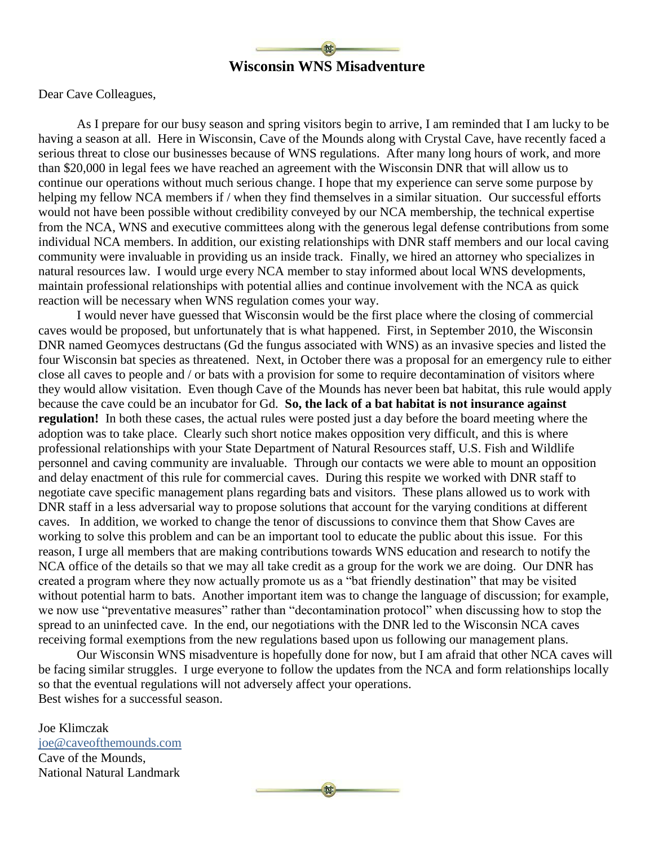

Dear Cave Colleagues,

As I prepare for our busy season and spring visitors begin to arrive, I am reminded that I am lucky to be having a season at all. Here in Wisconsin, Cave of the Mounds along with Crystal Cave, have recently faced a serious threat to close our businesses because of WNS regulations. After many long hours of work, and more than \$20,000 in legal fees we have reached an agreement with the Wisconsin DNR that will allow us to continue our operations without much serious change. I hope that my experience can serve some purpose by helping my fellow NCA members if / when they find themselves in a similar situation. Our successful efforts would not have been possible without credibility conveyed by our NCA membership, the technical expertise from the NCA, WNS and executive committees along with the generous legal defense contributions from some individual NCA members. In addition, our existing relationships with DNR staff members and our local caving community were invaluable in providing us an inside track. Finally, we hired an attorney who specializes in natural resources law. I would urge every NCA member to stay informed about local WNS developments, maintain professional relationships with potential allies and continue involvement with the NCA as quick reaction will be necessary when WNS regulation comes your way.

I would never have guessed that Wisconsin would be the first place where the closing of commercial caves would be proposed, but unfortunately that is what happened. First, in September 2010, the Wisconsin DNR named Geomyces destructans (Gd the fungus associated with WNS) as an invasive species and listed the four Wisconsin bat species as threatened. Next, in October there was a proposal for an emergency rule to either close all caves to people and / or bats with a provision for some to require decontamination of visitors where they would allow visitation. Even though Cave of the Mounds has never been bat habitat, this rule would apply because the cave could be an incubator for Gd. **So, the lack of a bat habitat is not insurance against regulation!** In both these cases, the actual rules were posted just a day before the board meeting where the adoption was to take place. Clearly such short notice makes opposition very difficult, and this is where professional relationships with your State Department of Natural Resources staff, U.S. Fish and Wildlife personnel and caving community are invaluable. Through our contacts we were able to mount an opposition and delay enactment of this rule for commercial caves. During this respite we worked with DNR staff to negotiate cave specific management plans regarding bats and visitors. These plans allowed us to work with DNR staff in a less adversarial way to propose solutions that account for the varying conditions at different caves. In addition, we worked to change the tenor of discussions to convince them that Show Caves are working to solve this problem and can be an important tool to educate the public about this issue. For this reason, I urge all members that are making contributions towards WNS education and research to notify the NCA office of the details so that we may all take credit as a group for the work we are doing. Our DNR has created a program where they now actually promote us as a "bat friendly destination" that may be visited without potential harm to bats. Another important item was to change the language of discussion; for example, we now use "preventative measures" rather than "decontamination protocol" when discussing how to stop the spread to an uninfected cave. In the end, our negotiations with the DNR led to the Wisconsin NCA caves receiving formal exemptions from the new regulations based upon us following our management plans.

Our Wisconsin WNS misadventure is hopefully done for now, but I am afraid that other NCA caves will be facing similar struggles. I urge everyone to follow the updates from the NCA and form relationships locally so that the eventual regulations will not adversely affect your operations. Best wishes for a successful season.

Joe Klimczak [joe@caveofthemounds.com](mailto:joe@caveofthemounds.com) Cave of the Mounds, National Natural Landmark